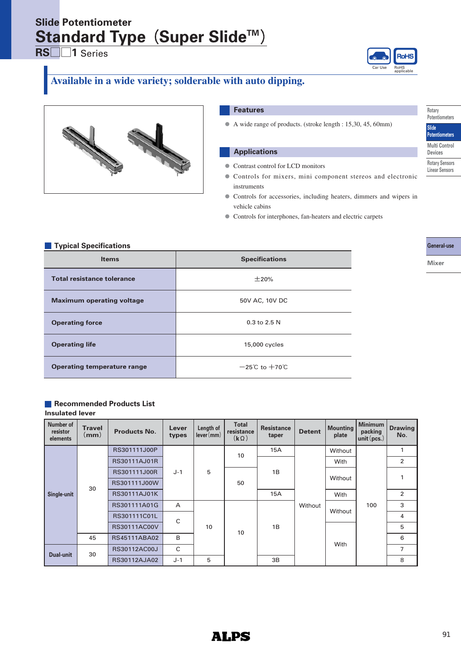# **Standard Type (Super Slide™) Slide Potentiometer**

**RS□□1** Series



# **Available in a wide variety; solderable with auto dipping.**



### **Features**

**●** A wide range of products. (stroke length : 15,30, 45, 60mm)

### **Applications**

- Contrast control for LCD monitors **●**
- Controls for mixers, mini component stereos and electronic instruments
- Controls for accessories, including heaters, dimmers and wipers in vehicle cabins
- **●** Controls for interphones, fan-heaters and electric carpets

|  | <b>Typical Specifications</b> |  |  |
|--|-------------------------------|--|--|
|  |                               |  |  |

| i ypivai Opovinvations<br><b>Items</b> | <b>Specifications</b>              |
|----------------------------------------|------------------------------------|
| <b>Total resistance tolerance</b>      | ±20%                               |
| <b>Maximum operating voltage</b>       | 50V AC, 10V DC                     |
| <b>Operating force</b>                 | $0.3$ to 2.5 N                     |
| <b>Operating life</b>                  | 15,000 cycles                      |
| <b>Operating temperature range</b>     | $-25^{\circ}$ C to $+70^{\circ}$ C |

# **Recommended Products List**

**Insulated lever**

| Number of<br>resistor<br>elements | <b>Travel</b><br>$\mathsf{(mm)}$ | <b>Products No.</b> | Lever<br>types | Length of<br>lever(mm) | <b>Total</b><br>resistance<br>$(k \Omega)$ | <b>Resistance</b><br>taper | <b>Detent</b> | <b>Mounting</b><br>plate | <b>Minimum</b><br>packing<br>unit $(pcs.)$ | <b>Drawing</b><br>No. |
|-----------------------------------|----------------------------------|---------------------|----------------|------------------------|--------------------------------------------|----------------------------|---------------|--------------------------|--------------------------------------------|-----------------------|
|                                   |                                  | RS301111J00P        |                |                        | 10                                         | 15A                        |               | Without                  |                                            | $\mathbf{1}$          |
|                                   |                                  | RS30111AJ01R        |                |                        |                                            |                            |               | With                     |                                            | $\overline{2}$        |
|                                   |                                  | RS301111J00R        | $J-1$          | 5                      | 50                                         | 1B                         | Without       | Without                  |                                            | $\mathbf{1}$          |
|                                   | 30                               | RS301111J00W        |                |                        |                                            |                            |               |                          | 100                                        |                       |
| Single-unit                       |                                  | <b>RS30111AJ01K</b> |                |                        |                                            | 15A                        |               | With                     |                                            | $\overline{2}$        |
|                                   |                                  | RS301111A01G        | $\overline{A}$ |                        |                                            |                            |               | Without                  |                                            | 3                     |
|                                   |                                  | RS301111C01L        | C              |                        |                                            |                            |               |                          |                                            | 4                     |
|                                   |                                  | <b>RS30111AC00V</b> |                | 10                     | 10                                         | 1B                         |               | With                     |                                            | 5                     |
|                                   | 45                               | <b>RS45111ABA02</b> | B              |                        |                                            |                            |               |                          |                                            | 6                     |
| <b>Dual-unit</b>                  | 30                               | RS30112AC00J        | $\mathsf{C}$   |                        |                                            |                            |               |                          |                                            | $\overline{7}$        |
|                                   |                                  | RS30112AJA02        | $J-1$          | 5                      |                                            | 3B                         |               |                          |                                            | 8                     |



**Slide**

**Devices Rotary Sensors Linear Sensors**

**General-use**

```
Mixer
```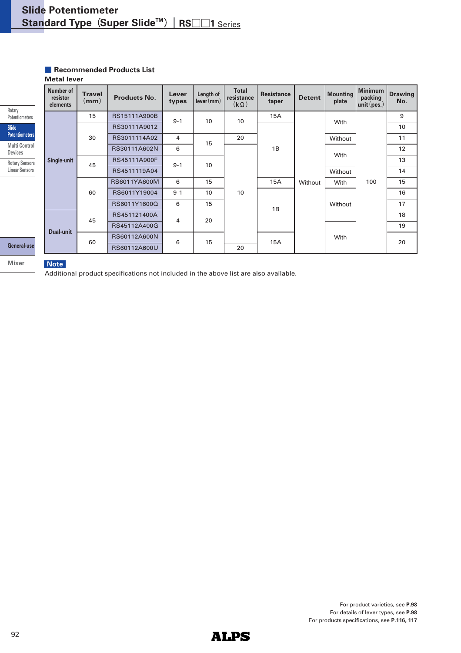#### **Metal lever Recommended Products List**

|                                        |                                   | IVICLAI ICVCI         |                     |                |                        |                                                    |                            |               |                          |                                          |                       |
|----------------------------------------|-----------------------------------|-----------------------|---------------------|----------------|------------------------|----------------------------------------------------|----------------------------|---------------|--------------------------|------------------------------------------|-----------------------|
| Rotary                                 | Number of<br>resistor<br>elements | <b>Travel</b><br>(mm) | <b>Products No.</b> | Lever<br>types | Length of<br>lever(mm) | <b>Total</b><br>resistance<br>$(\mathbf{k}\Omega)$ | <b>Resistance</b><br>taper | <b>Detent</b> | <b>Mounting</b><br>plate | <b>Minimum</b><br>packing<br>unit (pcs.) | <b>Drawing</b><br>No. |
| <b>Potentiometers</b>                  |                                   | 15                    | RS15111A900B        | $9 - 1$        | 10                     | 10                                                 | 15A                        |               | With                     |                                          | 9                     |
| <b>Slide</b>                           |                                   |                       | RS30111A9012        |                |                        |                                                    |                            |               |                          |                                          | 10                    |
| <b>Potentiometers</b>                  |                                   | 30                    | RS3011114A02        | 4              | 15                     | 20                                                 |                            |               | Without                  |                                          | 11                    |
| <b>Multi Control</b><br><b>Devices</b> | Single-unit                       |                       | RS30111A602N        | 6              |                        |                                                    | 1B                         | Without<br>1B | With<br>Without          |                                          | 12                    |
| <b>Rotary Sensors</b>                  |                                   | 45                    | RS45111A900F        |                | 10<br>$9 - 1$          | 10                                                 |                            |               |                          |                                          | 13                    |
| <b>Linear Sensors</b>                  |                                   |                       | RS4511119A04        |                |                        |                                                    |                            |               |                          |                                          | 14                    |
|                                        |                                   | 60                    | RS6011YA600M        | 6              | 15                     |                                                    | <b>15A</b>                 |               | With                     | 100                                      | 15                    |
|                                        |                                   |                       | RS6011Y19004        | $9 - 1$        | 10                     |                                                    |                            |               | Without                  |                                          | 16                    |
|                                        |                                   |                       | RS6011Y1600Q        | 6              | 15                     |                                                    |                            |               |                          |                                          | 17                    |
|                                        |                                   | 45                    | RS451121400A        | 4              | 20                     |                                                    |                            |               |                          |                                          | 18                    |
|                                        |                                   |                       | RS45112A400G        |                |                        |                                                    |                            |               | With                     |                                          | 19                    |
|                                        | <b>Dual-unit</b>                  | 60                    | RS60112A600N        |                |                        |                                                    |                            |               |                          |                                          | 20                    |
| General-use                            |                                   |                       | RS60112A600U        | 6<br>15        | 20                     | 15A                                                |                            |               |                          |                                          |                       |

# **Mixer**

**Note**

Additional product specifications not included in the above list are also available.

For product varieties, see **P.98** For details of lever types, see **P.98** For products specifications, see **P.116, 117**

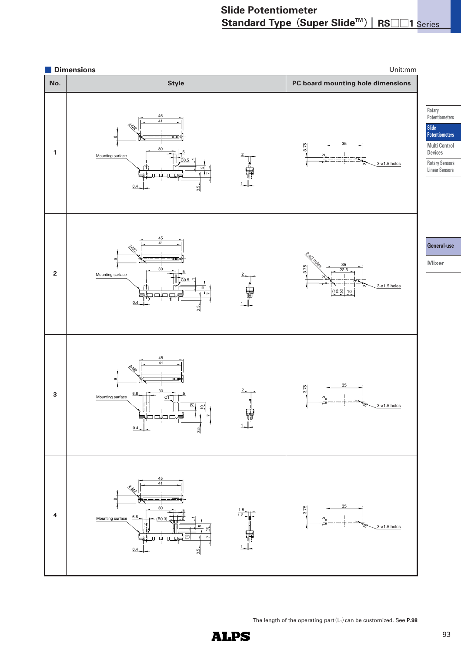

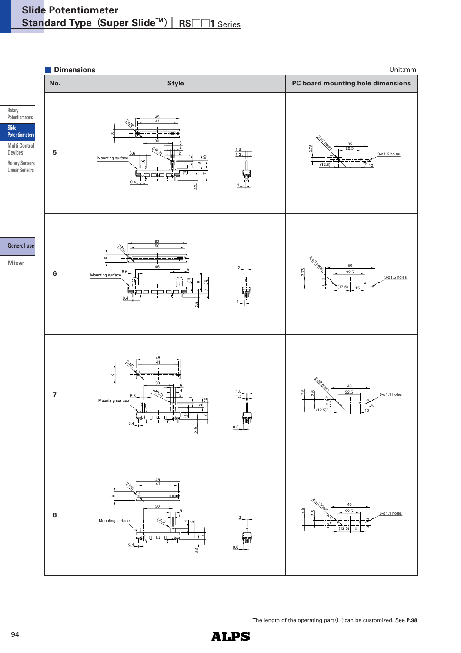

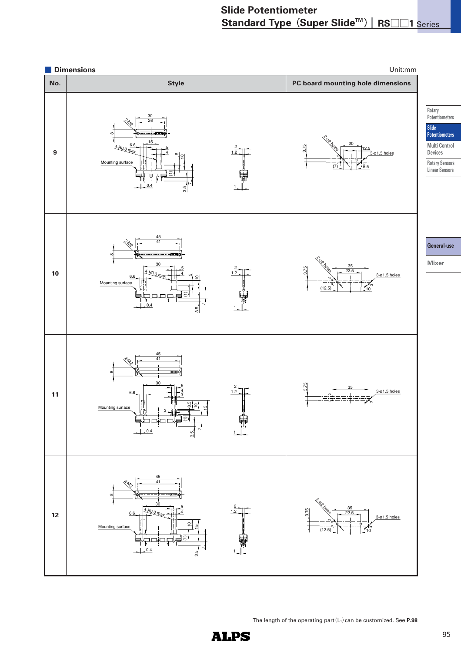

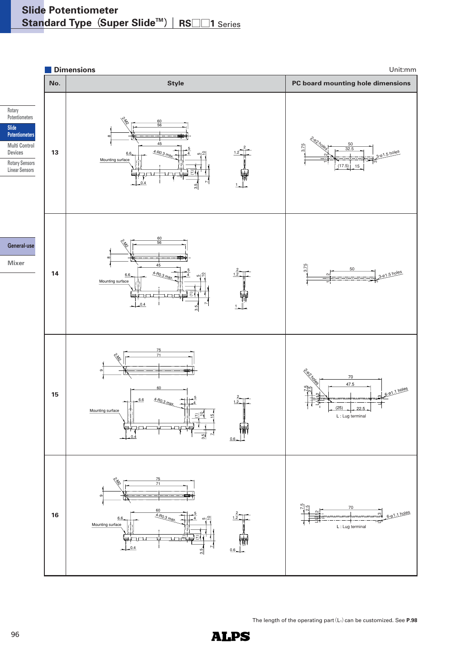

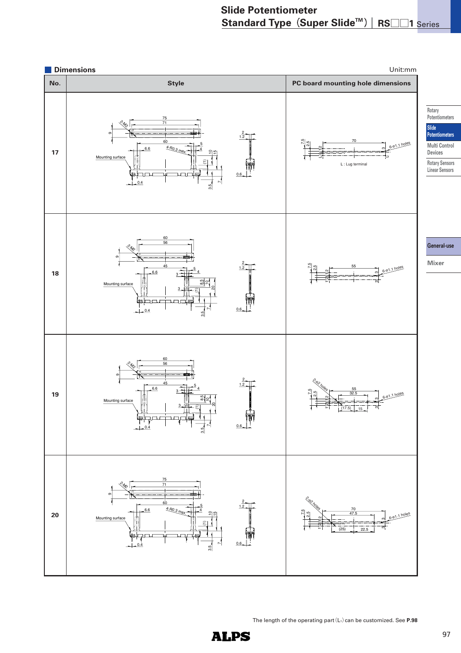

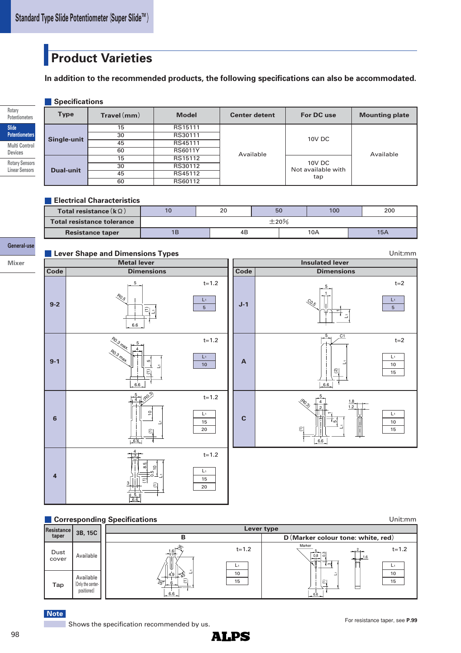# **Product Varieties**

**In addition to the recommended products, the following specifications can also be accommodated.**

# **Specifications**

**Slide Potentiometers Rotary Potentiometers Multi Control Devices**

> **Rotary Sensors Linear Sensors**

**Mixer**

|  | <b>Type</b>      | $\mathsf{T}$ ravel $\mathsf{(mm)}$ | <b>Model</b>   | <b>Center detent</b> | For DC use                   | <b>Mounting plate</b> |  |
|--|------------------|------------------------------------|----------------|----------------------|------------------------------|-----------------------|--|
|  |                  | 15                                 | RS15111        |                      |                              |                       |  |
|  |                  | 30                                 | RS30111        |                      | 10V DC                       | Available             |  |
|  | Single-unit      | 45                                 | RS45111        |                      |                              |                       |  |
|  |                  | 60                                 | <b>RS6011Y</b> | Available            |                              |                       |  |
|  |                  | 15                                 | RS15112        |                      |                              |                       |  |
|  |                  | 30                                 | RS30112        |                      | 10V DC<br>Not available with |                       |  |
|  | <b>Dual-unit</b> | 45                                 | RS45112        |                      | tap                          |                       |  |
|  |                  | 60                                 | RS60112        |                      |                              |                       |  |

# **Electrical Characteristics**

| Total resistance ( $\mathbf{k} \Omega$ ) | 10         | 20 | 50 | 100 | 200 |
|------------------------------------------|------------|----|----|-----|-----|
| <b>Total resistance tolerance</b>        | $\pm 20\%$ |    |    |     |     |
| <b>Resistance taper</b>                  | 1Β         | 4B |    | 10A | 15A |

#### **General-use Lever Shape and Dimensions Types**

 $t=1.2$  $t=1.2$  $t=1.2$  $t=2$  $t=2$  $t=1.2$ **Metal lever Code Dimensions 9-2 6 4**  $\widehat{\tau}$ 6.6 L1 5 R0.5 L1 6.6 5<br>(1)  $\mathcal{R}_Q$ Ro.3 max. 4 5 4  $\epsilon$ 6.6  $\Rightarrow$ 5 (Ro.3) L1 3 3 5 8.5 0.5  $\widehat{\in}$ 4 <u>ុ</u> 6.6  $\widehat{\Xi}$ L1 **9-1 Insulated lever Code Dimensions J-1 C**  $\mathcal{Q}_{\mathcal{S}}$ L1  $\overline{\phantom{0}}$ 5 1 6.6 ର 5 C1 L1  $\widehat{\Xi}$ 5 4 2 ة ا  $\overline{\phantom{0}}$ ທ 1.8 1.2 (R0.3) L1 **A** L1  $\frac{1}{10}$  $\overline{L}$ 5 L1 15  $\overline{20}$ L1 5 L1 15 20 L1 10 15 L1 10  $\overline{15}$ 

# **Corresponding Specifications**

**Lever type B D** (Marker colour tone: white, red) L1 6.6 5  $\widehat{\epsilon}$ 0.8 ო<br>0. ო Marke 1.6 2 6.6  $\widehat{\Xi}$ 1.6 25˚ 4.9 6 30˚ 45˚ L1 t=1.2  $\frac{1}{2}$  t=1.2 L1  $\frac{1}{10}$ 15  $L_1$  $\overline{10}$ 15 **Resistance taper 3B, 15C** Dust Dust Available **Tap** Available (Only the centerpositioned) Unit:mm

**Note**

Unit:mm

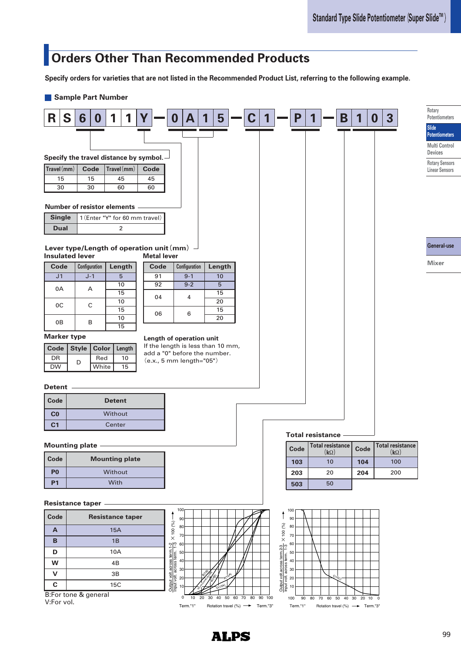# **Orders Other Than Recommended Products**

**Specify orders for varieties that are not listed in the Recommended Product List, referring to the following example.**

### **Sample Part Number**